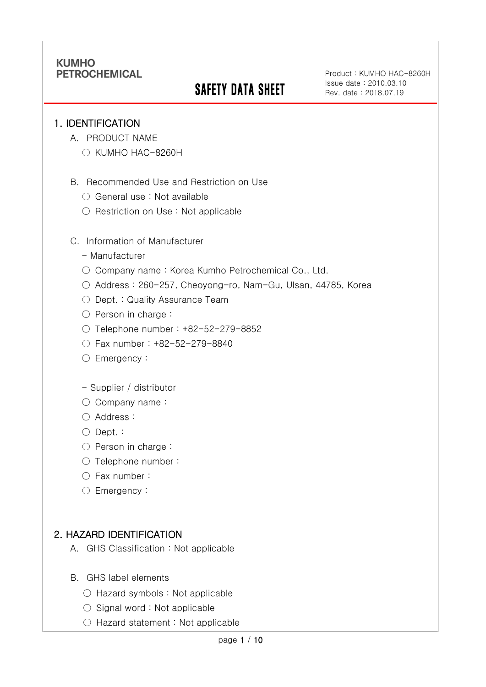# SAFETY DATA SHEET

Product : KUMHO HAC-8260H Issue date : 2010.03.10 Rev. date : 2018.07.19

#### 1. IDENTIFICATION

Ī

- A. PRODUCT NAME
	- KUMHO HAC-8260H
- B. Recommended Use and Restriction on Use
	- General use : Not available
	- Restriction on Use : Not applicable
- C. Information of Manufacturer
	- Manufacturer
	- Company name: Korea Kumho Petrochemical Co., Ltd.
	- Address : 260-257, Cheoyong-ro, Nam-Gu, Ulsan, 44785, Korea
	- Dept. : Quality Assurance Team
	- Person in charge :
	- Telephone number : +82-52-279-8852
	- Fax number : +82-52-279-8840
	- Emergency:
	- Supplier / distributor
	- Company name:
	- Address :
	- Dept. :
	- Person in charge :
	- Telephone number :
	- Fax number :
	- Emergency:

## 2. HAZARD IDENTIFICATION

- A. GHS Classification : Not applicable
- B. GHS label elements
	- Hazard symbols : Not applicable
	- $\bigcirc$  Signal word : Not applicable
	- Hazard statement : Not applicable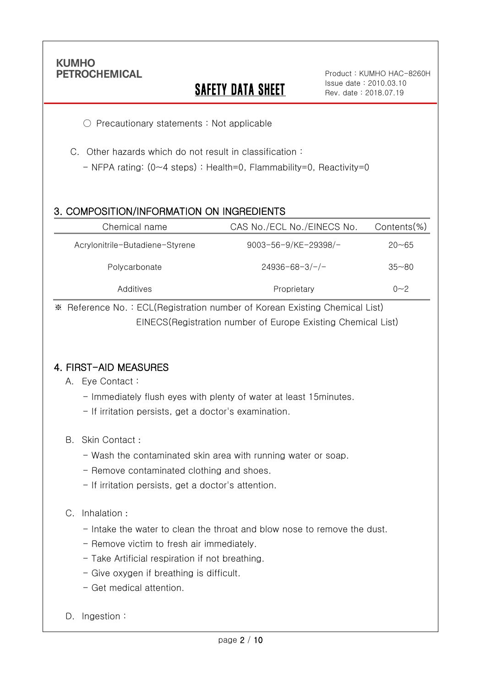Ī

# **SAFETY DATA SHEET**

Product : KUMHO HAC-8260H Issue date : 2010.03.10 Rev. date : 2018.07.19

○ Precautionary statements : Not applicable

- C. Other hazards which do not result in classification :
	- NFPA rating: (0~4 steps) : Health=0, Flammability=0, Reactivity=0

### 3. COMPOSITION/INFORMATION ON INGREDIENTS

| Chemical name                   | CAS No./ECL No./EINECS No. | $Contents$ %) |
|---------------------------------|----------------------------|---------------|
| Acrylonitrile-Butadiene-Styrene | 9003-56-9/KE-29398/-       | $20 - 65$     |
| Polycarbonate                   | $24936 - 68 - 3/-/-$       | $35 - 80$     |
| Additives                       | Proprietary                | $0 - 2$       |

※ Reference No. : ECL(Registration number of Korean Existing Chemical List) EINECS(Registration number of Europe Existing Chemical List)

### 4. FIRST-AID MEASURES

- A. Eye Contact :
	- Immediately flush eyes with plenty of water at least 15minutes.
	- If irritation persists, get a doctor's examination.
- B. Skin Contact :
	- Wash the contaminated skin area with running water or soap.
	- Remove contaminated clothing and shoes.
	- If irritation persists, get a doctor's attention.

#### C. Inhalation :

- Intake the water to clean the throat and blow nose to remove the dust.
- Remove victim to fresh air immediately.
- Take Artificial respiration if not breathing.
- Give oxygen if breathing is difficult.
- Get medical attention.
- D. Ingestion: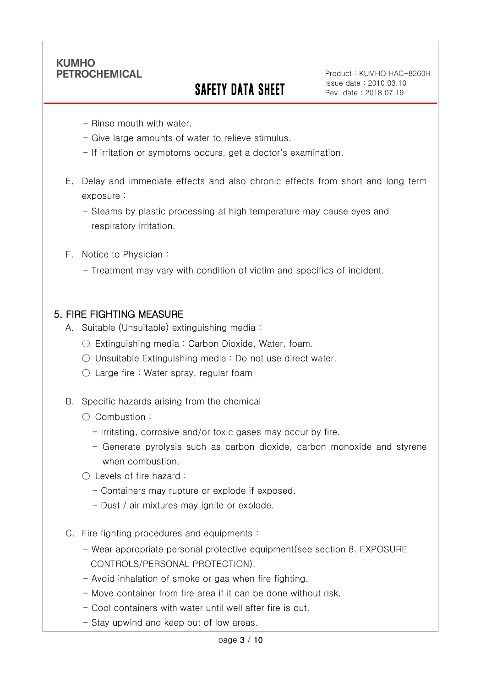Ī

# SAFETY DATA SHEET

Product : KUMHO HAC-8260H Issue date : 2010.03.10 Rev. date : 2018.07.19

- Rinse mouth with water.
- Give large amounts of water to relieve stimulus.
- If irritation or symptoms occurs, get a doctor's examination.
- E. Delay and immediate effects and also chronic effects from short and long term exposure :
	- Steams by plastic processing at high temperature may cause eyes and respiratory irritation.
- F. Notice to Physician :
	- Treatment may vary with condition of victim and specifics of incident.

#### 5. FIRE FIGHTING MEASURE

- A. Suitable (Unsuitable) extinguishing media :
	- Extinguishing media : Carbon Dioxide, Water, foam.
	- Unsuitable Extinguishing media : Do not use direct water.
	- $\circlearrowright$  Large fire : Water spray, regular foam
- B. Specific hazards arising from the chemical
	- Combustion :
		- Irritating, corrosive and/or toxic gases may occur by fire.
		- Generate pyrolysis such as carbon dioxide, carbon monoxide and styrene when combustion.
	- Levels of fire hazard :
		- Containers may rupture or explode if exposed.
		- Dust / air mixtures may ignite or explode.
- C. Fire fighting procedures and equipments :
	- Wear appropriate personal protective equipment(see section 8. EXPOSURE CONTROLS/PERSONAL PROTECTION).
	- Avoid inhalation of smoke or gas when fire fighting.
	- Move container from fire area if it can be done without risk.
	- Cool containers with water until well after fire is out.
	- Stay upwind and keep out of low areas.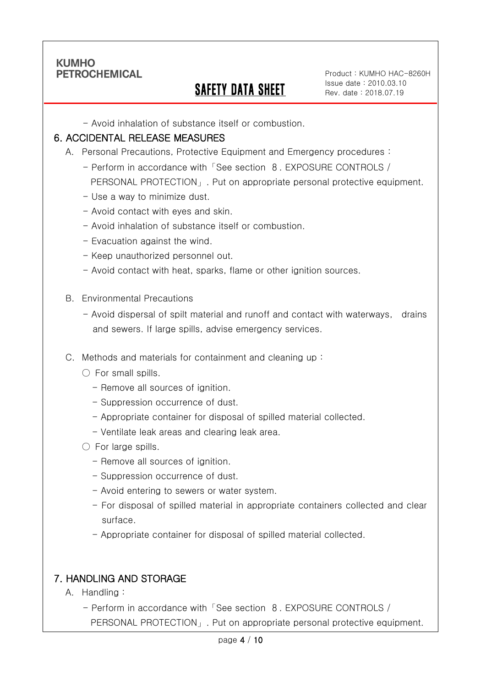Ī

## SAFETY DATA SHEET

Product : KUMHO HAC-8260H Issue date : 2010.03.10 Rev. date : 2018.07.19

- Avoid inhalation of substance itself or combustion.

#### 6. ACCIDENTAL RELEASE MEASURES

- A. Personal Precautions, Protective Equipment and Emergency procedures :
	- Perform in accordance with「See section 8. EXPOSURE CONTROLS / PERSONAL PROTECTION」. Put on appropriate personal protective equipment.
	- Use a way to minimize dust.
	- Avoid contact with eyes and skin.
	- Avoid inhalation of substance itself or combustion.
	- Evacuation against the wind.
	- Keep unauthorized personnel out.
	- Avoid contact with heat, sparks, flame or other ignition sources.
- B. Environmental Precautions
	- Avoid dispersal of spilt material and runoff and contact with waterways, drains and sewers. If large spills, advise emergency services.
- C. Methods and materials for containment and cleaning up :
	- $\bigcirc$  For small spills.
		- Remove all sources of ignition.
		- Suppression occurrence of dust.
		- Appropriate container for disposal of spilled material collected.
		- Ventilate leak areas and clearing leak area.
	- For large spills.
		- Remove all sources of ignition.
		- Suppression occurrence of dust.
		- Avoid entering to sewers or water system.
		- For disposal of spilled material in appropriate containers collected and clear surface.
		- Appropriate container for disposal of spilled material collected.

### 7. HANDLING AND STORAGE

- A. Handling :
	- Perform in accordance with「See section 8. EXPOSURE CONTROLS / PERSONAL PROTECTION」. Put on appropriate personal protective equipment.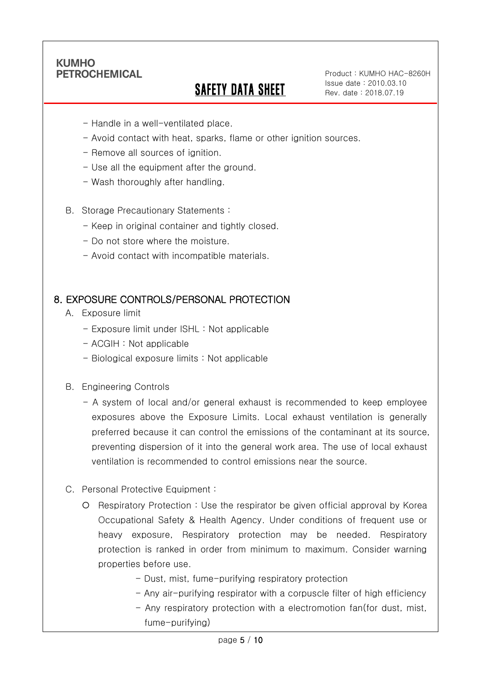Ī

# SAFETY DATA SHEET

Product : KUMHO HAC-8260H Issue date : 2010.03.10 Rev. date : 2018.07.19

- Handle in a well-ventilated place.
- Avoid contact with heat, sparks, flame or other ignition sources.
- Remove all sources of ignition.
- Use all the equipment after the ground.
- Wash thoroughly after handling.
- B. Storage Precautionary Statements :
	- Keep in original container and tightly closed.
	- Do not store where the moisture.
	- Avoid contact with incompatible materials.

#### 8. EXPOSURE CONTROLS/PERSONAL PROTECTION

- A. Exposure limit
	- Exposure limit under ISHL : Not applicable
	- ACGIH : Not applicable
	- Biological exposure limits : Not applicable
- B. Engineering Controls
	- A system of local and/or general exhaust is recommended to keep employee exposures above the Exposure Limits. Local exhaust ventilation is generally preferred because it can control the emissions of the contaminant at its source, preventing dispersion of it into the general work area. The use of local exhaust ventilation is recommended to control emissions near the source.
- C. Personal Protective Equipment :
	- Respiratory Protection : Use the respirator be given official approval by Korea Occupational Safety & Health Agency. Under conditions of frequent use or heavy exposure, Respiratory protection may be needed. Respiratory protection is ranked in order from minimum to maximum. Consider warning properties before use.
		- Dust, mist, fume-purifying respiratory protection
		- Any air-purifying respirator with a corpuscle filter of high efficiency
		- Any respiratory protection with a electromotion fan(for dust, mist, fume-purifying)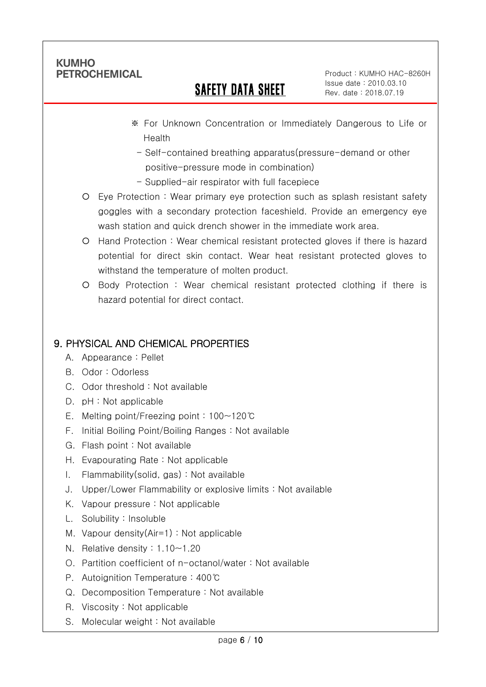Ī

# SAFETY DATA SHEET

Product : KUMHO HAC-8260H Issue date : 2010.03.10 Rev. date : 2018.07.19

- ※ For Unknown Concentration or Immediately Dangerous to Life or Health
	- Self-contained breathing apparatus(pressure-demand or other positive-pressure mode in combination)
- Supplied-air respirator with full facepiece
- Eye Protection : Wear primary eye protection such as splash resistant safety goggles with a secondary protection faceshield. Provide an emergency eye wash station and quick drench shower in the immediate work area.
- Hand Protection : Wear chemical resistant protected gloves if there is hazard potential for direct skin contact. Wear heat resistant protected gloves to withstand the temperature of molten product.
- Body Protection : Wear chemical resistant protected clothing if there is hazard potential for direct contact.

## 9. PHYSICAL AND CHEMICAL PROPERTIES

- A. Appearance : Pellet
- B. Odor : Odorless
- C. Odor threshold : Not available
- D. pH : Not applicable
- E. Melting point/Freezing point : 100~120℃
- F. Initial Boiling Point/Boiling Ranges : Not available
- G. Flash point : Not available
- H. Evapourating Rate : Not applicable
- I. Flammability(solid, gas) : Not available
- J. Upper/Lower Flammability or explosive limits : Not available
- K. Vapour pressure : Not applicable
- L. Solubility : Insoluble
- M. Vapour density(Air=1) : Not applicable
- N. Relative density : 1.10~1.20
- O. Partition coefficient of n-octanol/water : Not available
- P. Autoignition Temperature : 400℃
- Q. Decomposition Temperature : Not available
- R. Viscosity : Not applicable
- S. Molecular weight : Not available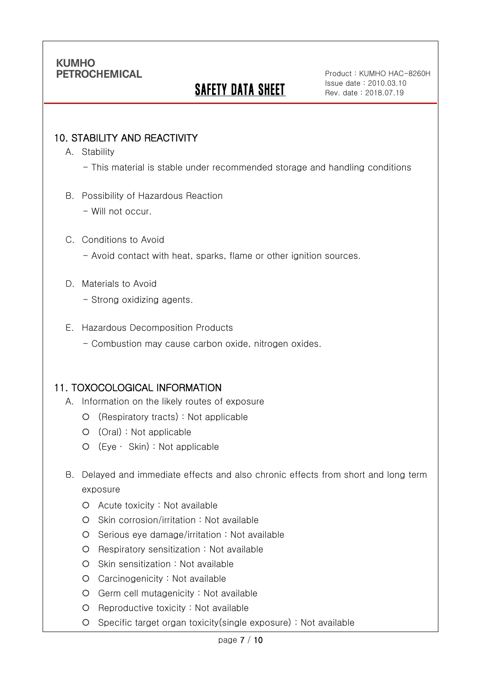# SAFETY DATA SHEET

Product : KUMHO HAC-8260H Issue date : 2010.03.10 Rev. date : 2018.07.19

### 10. STABILITY AND REACTIVITY

A. Stability

Ī

- This material is stable under recommended storage and handling conditions
- B. Possibility of Hazardous Reaction
	- Will not occur.

#### C. Conditions to Avoid

- Avoid contact with heat, sparks, flame or other ignition sources.
- D. Materials to Avoid
	- Strong oxidizing agents.
- E. Hazardous Decomposition Products
	- Combustion may cause carbon oxide, nitrogen oxides.

#### 11. TOXOCOLOGICAL INFORMATION

- A. Information on the likely routes of exposure
	- (Respiratory tracts) : Not applicable
	- (Oral) : Not applicable
	- (Eye ∙ Skin) : Not applicable
- B. Delayed and immediate effects and also chronic effects from short and long term exposure
	- Acute toxicity : Not available
	- O Skin corrosion/irritation : Not available
	- $O$  Serious eye damage/irritation : Not available
	- Respiratory sensitization : Not available
	- O Skin sensitization : Not available
	- Carcinogenicity : Not available
	- Germ cell mutagenicity : Not available
	- O Reproductive toxicity : Not available
	- Specific target organ toxicity(single exposure) : Not available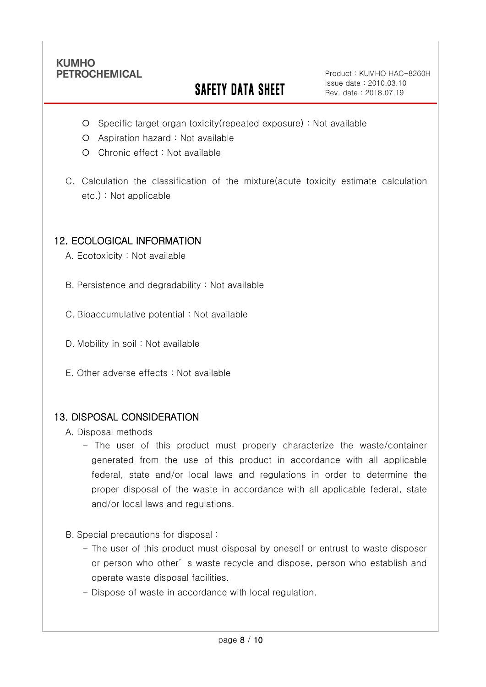Ī

# **SAFETY DATA SHEET**

Product : KUMHO HAC-8260H Issue date : 2010.03.10 Rev. date : 2018.07.19

- Specific target organ toxicity(repeated exposure) : Not available
- Aspiration hazard : Not available
- Chronic effect : Not available
- C. Calculation the classification of the mixture(acute toxicity estimate calculation etc.) : Not applicable

## 12. ECOLOGICAL INFORMATION

A. Ecotoxicity : Not available

B. Persistence and degradability : Not available

C. Bioaccumulative potential : Not available

- D. Mobility in soil : Not available
- E. Other adverse effects : Not available

### 13. DISPOSAL CONSIDERATION

A. Disposal methods

- The user of this product must properly characterize the waste/container generated from the use of this product in accordance with all applicable federal, state and/or local laws and regulations in order to determine the proper disposal of the waste in accordance with all applicable federal, state and/or local laws and regulations.
- B. Special precautions for disposal :
	- The user of this product must disposal by oneself or entrust to waste disposer or person who other' s waste recycle and dispose, person who establish and operate waste disposal facilities.
	- Dispose of waste in accordance with local regulation.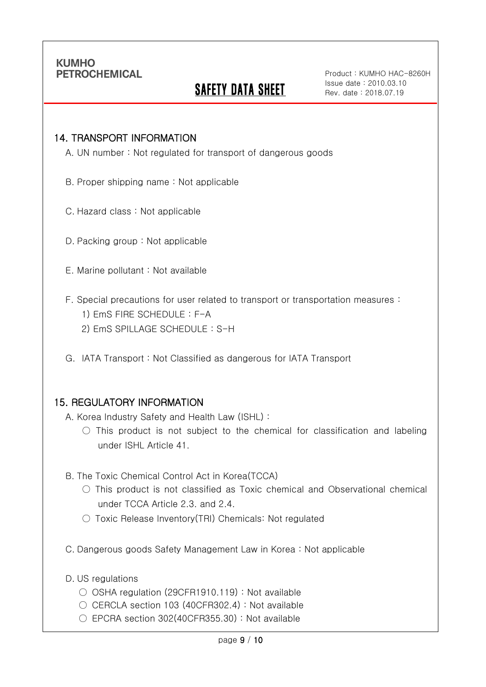Ī

# **SAFETY DATA SHEET**

Product : KUMHO HAC-8260H Issue date : 2010.03.10 Rev. date : 2018.07.19

#### 14. TRANSPORT INFORMATION

A. UN number : Not regulated for transport of dangerous goods

- B. Proper shipping name : Not applicable
- C. Hazard class : Not applicable
- D. Packing group : Not applicable
- E. Marine pollutant : Not available
- F. Special precautions for user related to transport or transportation measures :
	- 1) EmS FIRE SCHEDULE : F-A
	- 2) EmS SPILLAGE SCHEDULE : S-H
- G. IATA Transport : Not Classified as dangerous for IATA Transport

#### 15. REGULATORY INFORMATION

A. Korea Industry Safety and Health Law (ISHL) :

- $\bigcirc$  This product is not subject to the chemical for classification and labeling under ISHL Article 41.
- B. The Toxic Chemical Control Act in Korea(TCCA)
	- $\bigcirc$  This product is not classified as Toxic chemical and Observational chemical under TCCA Article 2.3. and 2.4.
	- Toxic Release Inventory(TRI) Chemicals: Not regulated
- C. Dangerous goods Safety Management Law in Korea : Not applicable
- D. US regulations
	- OSHA regulation (29CFR1910.119) : Not available
	- CERCLA section 103 (40CFR302.4) : Not available
	- $\circ$  EPCRA section 302(40CFR355.30) : Not available